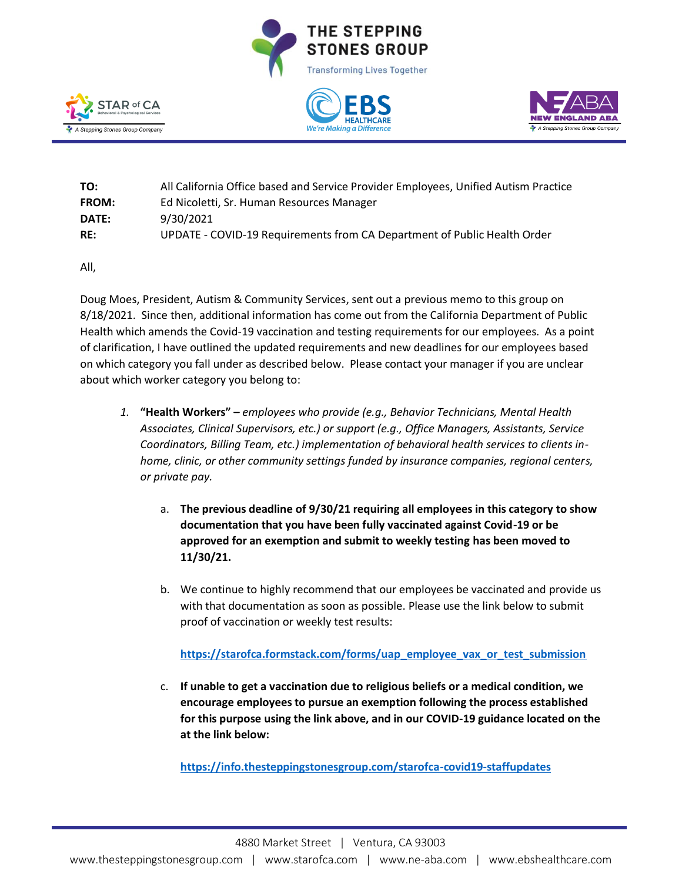







| TO:   | All California Office based and Service Provider Employees, Unified Autism Practice |
|-------|-------------------------------------------------------------------------------------|
| FROM: | Ed Nicoletti, Sr. Human Resources Manager                                           |
| DATE: | 9/30/2021                                                                           |
| RE:   | UPDATE - COVID-19 Requirements from CA Department of Public Health Order            |

All,

Doug Moes, President, Autism & Community Services, sent out a previous memo to this group on 8/18/2021. Since then, additional information has come out from the California Department of Public Health which amends the Covid-19 vaccination and testing requirements for our employees. As a point of clarification, I have outlined the updated requirements and new deadlines for our employees based on which category you fall under as described below. Please contact your manager if you are unclear about which worker category you belong to:

- *1.* **"Health Workers" –** *employees who provide (e.g., Behavior Technicians, Mental Health Associates, Clinical Supervisors, etc.) or support (e.g., Office Managers, Assistants, Service Coordinators, Billing Team, etc.) implementation of behavioral health services to clients inhome, clinic, or other community settings funded by insurance companies, regional centers, or private pay.* 
	- a. **The previous deadline of 9/30/21 requiring all employees in this category to show documentation that you have been fully vaccinated against Covid-19 or be approved for an exemption and submit to weekly testing has been moved to 11/30/21.**
	- b. We continue to highly recommend that our employees be vaccinated and provide us with that documentation as soon as possible. Please use the link below to submit proof of vaccination or weekly test results:

**[https://starofca.formstack.com/forms/uap\\_employee\\_vax\\_or\\_test\\_submission](https://starofca.formstack.com/forms/uap_employee_vax_or_test_submission)**

c. **If unable to get a vaccination due to religious beliefs or a medical condition, we encourage employees to pursue an exemption following the process established for this purpose using the link above, and in our COVID-19 guidance located on the at the link below:**

**<https://info.thesteppingstonesgroup.com/starofca-covid19-staffupdates>**